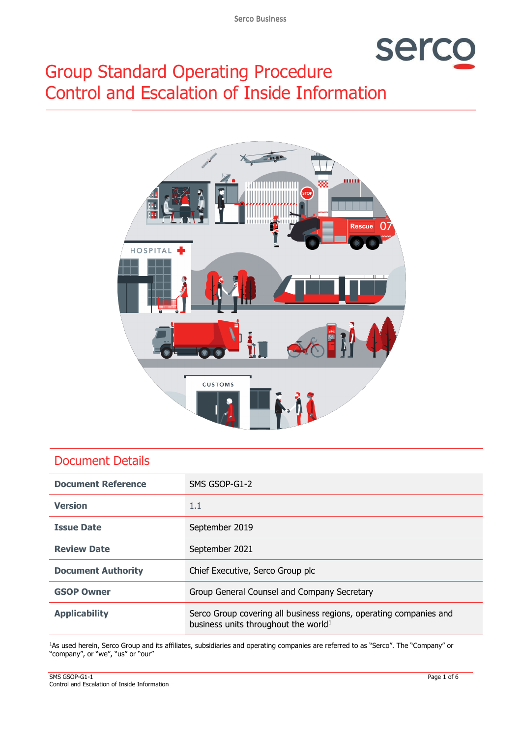# serc

# Group Standard Operating Procedure Control and Escalation of Inside Information



# Document Details

| <b>Document Reference</b> | SMS GSOP-G1-2                                                                                                          |  |
|---------------------------|------------------------------------------------------------------------------------------------------------------------|--|
| <b>Version</b>            | 1.1                                                                                                                    |  |
| <b>Issue Date</b>         | September 2019                                                                                                         |  |
| <b>Review Date</b>        | September 2021                                                                                                         |  |
| <b>Document Authority</b> | Chief Executive, Serco Group plc                                                                                       |  |
| <b>GSOP Owner</b>         | Group General Counsel and Company Secretary                                                                            |  |
| <b>Applicability</b>      | Serco Group covering all business regions, operating companies and<br>business units throughout the world <sup>1</sup> |  |

<sup>1</sup>As used herein, Serco Group and its affiliates, subsidiaries and operating companies are referred to as "Serco". The "Company" or "company", or "we", "us" or "our"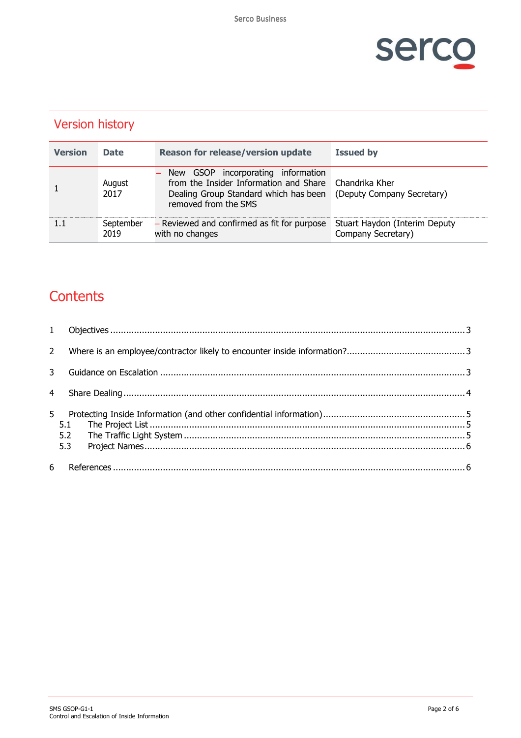

| <b>Version</b> | <b>Date</b>       | <b>Reason for release/version update</b>                                                                                                      | <b>Issued by</b>                                    |
|----------------|-------------------|-----------------------------------------------------------------------------------------------------------------------------------------------|-----------------------------------------------------|
|                | August<br>2017    | New GSOP incorporating information<br>from the Insider Information and Share<br>Dealing Group Standard which has been<br>removed from the SMS | Chandrika Kher<br>(Deputy Company Secretary)        |
| 1.1            | September<br>2019 | - Reviewed and confirmed as fit for purpose<br>with no changes                                                                                | Stuart Haydon (Interim Deputy<br>Company Secretary) |

# Version history

# **Contents**

| $2^{\circ}$    |                   |  |  |  |
|----------------|-------------------|--|--|--|
|                |                   |  |  |  |
| $\overline{4}$ |                   |  |  |  |
| 5.             | 5.1<br>5.2<br>5.3 |  |  |  |
| 6              |                   |  |  |  |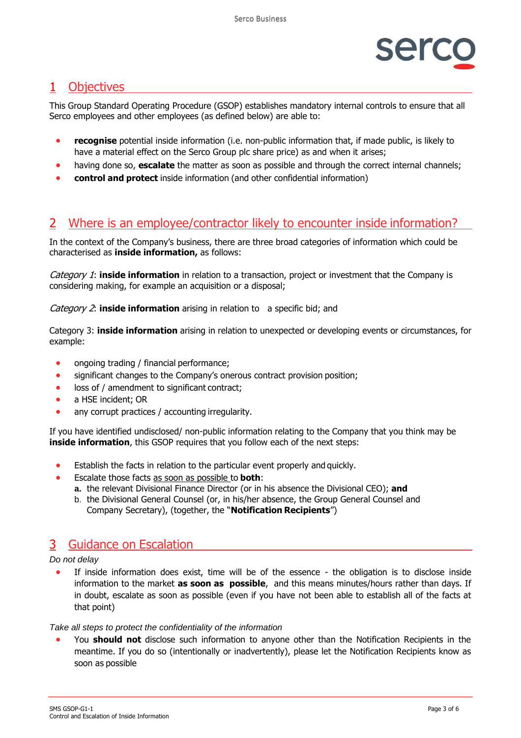

# <span id="page-2-0"></span>1 Objectives

This Group Standard Operating Procedure (GSOP) establishes mandatory internal controls to ensure that all Serco employees and other employees (as defined below) are able to:

- **recognise** potential inside information (i.e. non-public information that, if made public, is likely to have a material effect on the Serco Group plc share price) as and when it arises;
- having done so, **escalate** the matter as soon as possible and through the correct internal channels;
- **control and protect** inside information (and other confidential information)

# <span id="page-2-1"></span>2 Where is an employee/contractor likely to encounter inside information?

In the context of the Company's business, there are three broad categories of information which could be characterised as **inside information,** as follows:

Category 1: **inside information** in relation to a transaction, project or investment that the Company is considering making, for example an acquisition or a disposal;

#### Category 2: **inside information** arising in relation to a specific bid; and

Category 3: **inside information** arising in relation to unexpected or developing events or circumstances, for example:

- ongoing trading / financial performance;
- significant changes to the Company's onerous contract provision position;
- loss of / amendment to significant contract;
- a HSE incident; OR
- any corrupt practices / accounting irregularity.

If you have identified undisclosed/ non-public information relating to the Company that you think may be **inside information**, this GSOP requires that you follow each of the next steps:

- Establish the facts in relation to the particular event properly and quickly.
- Escalate those facts as soon as possible to **both**:
	- **a.** the relevant Divisional Finance Director (or in his absence the Divisional CEO); **and**
		- b. the Divisional General Counsel (or, in his/her absence, the Group General Counsel and Company Secretary), (together, the "**Notification Recipients**")

## <span id="page-2-2"></span>3 Guidance on Escalation

#### *Do not delay*

If inside information does exist, time will be of the essence - the obligation is to disclose inside information to the market **as soon as possible**, and this means minutes/hours rather than days. If in doubt, escalate as soon as possible (even if you have not been able to establish all of the facts at that point)

#### *Take all steps to protect the confidentiality of the information*

• You **should not** disclose such information to anyone other than the Notification Recipients in the meantime. If you do so (intentionally or inadvertently), please let the Notification Recipients know as soon as possible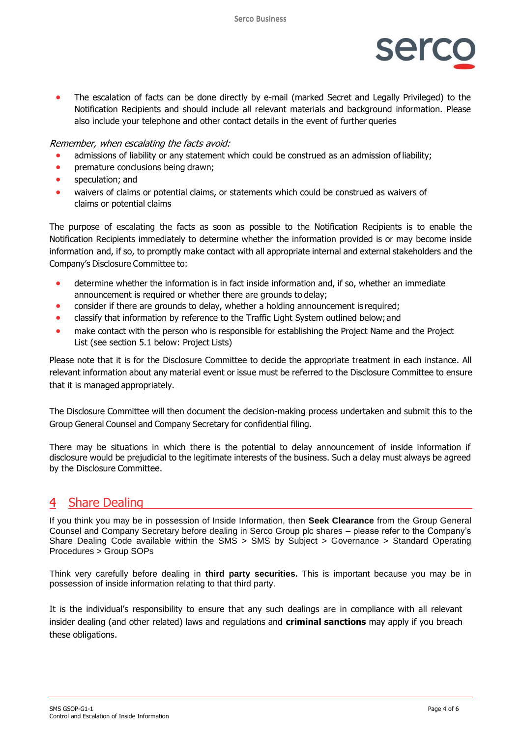

• The escalation of facts can be done directly by e-mail (marked Secret and Legally Privileged) to the Notification Recipients and should include all relevant materials and background information. Please also include your telephone and other contact details in the event of further queries

#### Remember, when escalating the facts avoid:

- admissions of liability or any statement which could be construed as an admission of liability;
- premature conclusions being drawn;
- speculation; and
- waivers of claims or potential claims, or statements which could be construed as waivers of claims or potential claims

The purpose of escalating the facts as soon as possible to the Notification Recipients is to enable the Notification Recipients immediately to determine whether the information provided is or may become inside information and, if so, to promptly make contact with all appropriate internal and external stakeholders and the Company's Disclosure Committee to:

- determine whether the information is in fact inside information and, if so, whether an immediate announcement is required or whether there are grounds to delay;
- consider if there are grounds to delay, whether a holding announcement is required;
- classify that information by reference to the Traffic Light System outlined below; and
- make contact with the person who is responsible for establishing the Project Name and the Project List (see section 5.1 below: Project Lists)

Please note that it is for the Disclosure Committee to decide the appropriate treatment in each instance. All relevant information about any material event or issue must be referred to the Disclosure Committee to ensure that it is managed appropriately.

The Disclosure Committee will then document the decision-making process undertaken and submit this to the Group General Counsel and Company Secretary for confidential filing.

There may be situations in which there is the potential to delay announcement of inside information if disclosure would be prejudicial to the legitimate interests of the business. Such a delay must always be agreed by the Disclosure Committee.

## <span id="page-3-0"></span>4 Share Dealing

If you think you may be in possession of Inside Information, then **Seek Clearance** from the Group General Counsel and Company Secretary before dealing in Serco Group plc shares – please refer to the Company's Share Dealing Code available within the SMS > SMS by Subject > Governance > Standard Operating Procedures > Group SOPs

Think very carefully before dealing in **third party securities.** This is important because you may be in possession of inside information relating to that third party.

It is the individual's responsibility to ensure that any such dealings are in compliance with all relevant insider dealing (and other related) laws and regulations and **criminal sanctions** may apply if you breach these obligations.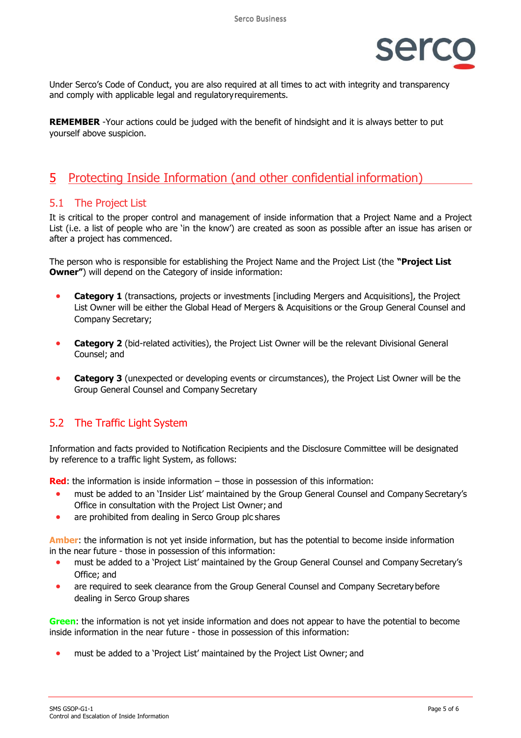

Under Serco's Code of Conduct, you are also required at all times to act with integrity and transparency and comply with applicable legal and regulatoryrequirements.

**REMEMBER** -Your actions could be judged with the benefit of hindsight and it is always better to put yourself above suspicion.

## <span id="page-4-0"></span>5 Protecting Inside Information (and other confidential information)

#### <span id="page-4-1"></span>5.1 The Project List

It is critical to the proper control and management of inside information that a Project Name and a Project List (i.e. a list of people who are 'in the know') are created as soon as possible after an issue has arisen or after a project has commenced.

The person who is responsible for establishing the Project Name and the Project List (the **"Project List Owner"**) will depend on the Category of inside information:

- **Category 1** (transactions, projects or investments [including Mergers and Acquisitions], the Project List Owner will be either the Global Head of Mergers & Acquisitions or the Group General Counsel and Company Secretary;
- **Category 2** (bid-related activities), the Project List Owner will be the relevant Divisional General Counsel; and
- **Category 3** (unexpected or developing events or circumstances), the Project List Owner will be the Group General Counsel and Company Secretary

## <span id="page-4-2"></span>5.2 The Traffic Light System

Information and facts provided to Notification Recipients and the Disclosure Committee will be designated by reference to a traffic light System, as follows:

**Red**: the information is inside information – those in possession of this information:

- must be added to an 'Insider List' maintained by the Group General Counsel and Company Secretary's Office in consultation with the Project List Owner; and
- are prohibited from dealing in Serco Group plc shares

**Amber**: the information is not yet inside information, but has the potential to become inside information in the near future - those in possession of this information:

- must be added to a 'Project List' maintained by the Group General Counsel and Company Secretary's Office; and
- are required to seek clearance from the Group General Counsel and Company Secretarybefore dealing in Serco Group shares

**Green**: the information is not yet inside information and does not appear to have the potential to become inside information in the near future - those in possession of this information:

• must be added to a 'Project List' maintained by the Project List Owner; and